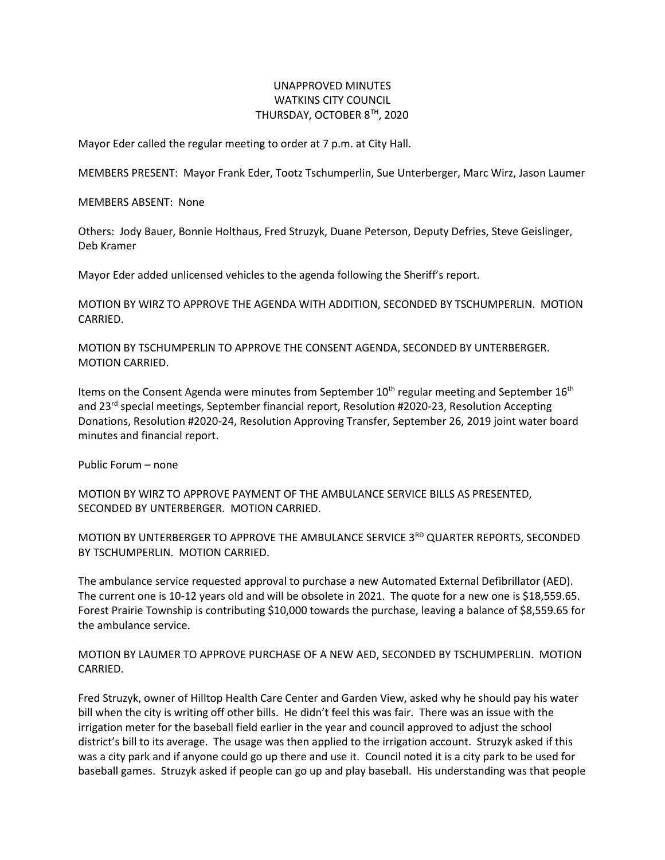## UNAPPROVED MINUTES WATKINS CITY COUNCIL THURSDAY, OCTOBER 8TH, 2020

Mayor Eder called the regular meeting to order at 7 p.m. at City Hall.

MEMBERS PRESENT: Mayor Frank Eder, Tootz Tschumperlin, Sue Unterberger, Marc Wirz, Jason Laumer

MEMBERS ABSENT: None

Others: Jody Bauer, Bonnie Holthaus, Fred Struzyk, Duane Peterson, Deputy Defries, Steve Geislinger, Deb Kramer

Mayor Eder added unlicensed vehicles to the agenda following the Sheriff's report.

MOTION BY WIRZ TO APPROVE THE AGENDA WITH ADDITION, SECONDED BY TSCHUMPERLIN. MOTION CARRIED.

MOTION BY TSCHUMPERLIN TO APPROVE THE CONSENT AGENDA, SECONDED BY UNTERBERGER. MOTION CARRIED.

Items on the Consent Agenda were minutes from September  $10^{th}$  regular meeting and September  $16^{th}$ and 23rd special meetings, September financial report, Resolution #2020-23, Resolution Accepting Donations, Resolution #2020-24, Resolution Approving Transfer, September 26, 2019 joint water board minutes and financial report.

Public Forum – none

MOTION BY WIRZ TO APPROVE PAYMENT OF THE AMBULANCE SERVICE BILLS AS PRESENTED, SECONDED BY UNTERBERGER. MOTION CARRIED.

MOTION BY UNTERBERGER TO APPROVE THE AMBULANCE SERVICE 3RD QUARTER REPORTS, SECONDED BY TSCHUMPERLIN. MOTION CARRIED.

The ambulance service requested approval to purchase a new Automated External Defibrillator (AED). The current one is 10-12 years old and will be obsolete in 2021. The quote for a new one is \$18,559.65. Forest Prairie Township is contributing \$10,000 towards the purchase, leaving a balance of \$8,559.65 for the ambulance service.

MOTION BY LAUMER TO APPROVE PURCHASE OF A NEW AED, SECONDED BY TSCHUMPERLIN. MOTION CARRIED.

Fred Struzyk, owner of Hilltop Health Care Center and Garden View, asked why he should pay his water bill when the city is writing off other bills. He didn't feel this was fair. There was an issue with the irrigation meter for the baseball field earlier in the year and council approved to adjust the school district's bill to its average. The usage was then applied to the irrigation account. Struzyk asked if this was a city park and if anyone could go up there and use it. Council noted it is a city park to be used for baseball games. Struzyk asked if people can go up and play baseball. His understanding was that people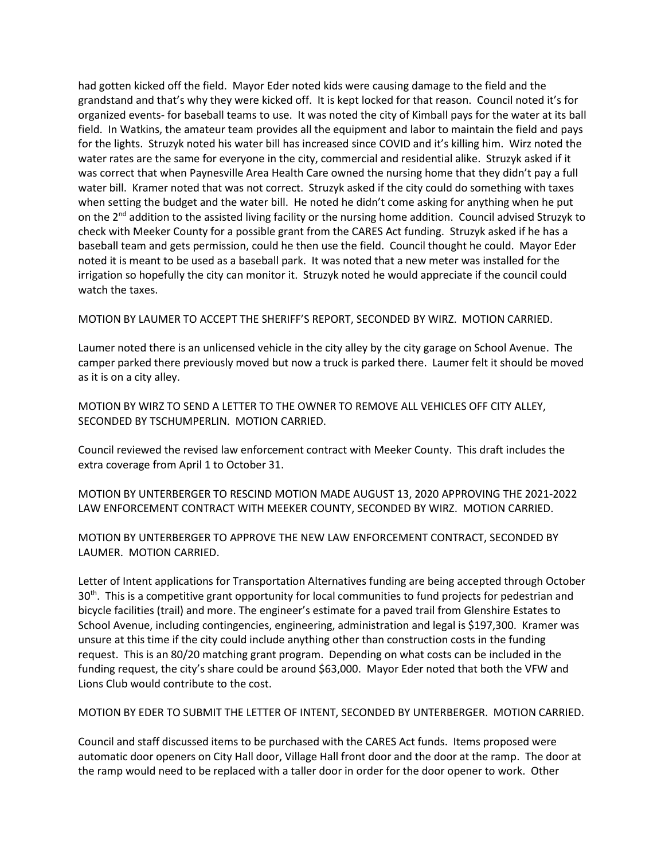had gotten kicked off the field. Mayor Eder noted kids were causing damage to the field and the grandstand and that's why they were kicked off. It is kept locked for that reason. Council noted it's for organized events- for baseball teams to use. It was noted the city of Kimball pays for the water at its ball field. In Watkins, the amateur team provides all the equipment and labor to maintain the field and pays for the lights. Struzyk noted his water bill has increased since COVID and it's killing him. Wirz noted the water rates are the same for everyone in the city, commercial and residential alike. Struzyk asked if it was correct that when Paynesville Area Health Care owned the nursing home that they didn't pay a full water bill. Kramer noted that was not correct. Struzyk asked if the city could do something with taxes when setting the budget and the water bill. He noted he didn't come asking for anything when he put on the  $2^{nd}$  addition to the assisted living facility or the nursing home addition. Council advised Struzyk to check with Meeker County for a possible grant from the CARES Act funding. Struzyk asked if he has a baseball team and gets permission, could he then use the field. Council thought he could. Mayor Eder noted it is meant to be used as a baseball park. It was noted that a new meter was installed for the irrigation so hopefully the city can monitor it. Struzyk noted he would appreciate if the council could watch the taxes.

MOTION BY LAUMER TO ACCEPT THE SHERIFF'S REPORT, SECONDED BY WIRZ. MOTION CARRIED.

Laumer noted there is an unlicensed vehicle in the city alley by the city garage on School Avenue. The camper parked there previously moved but now a truck is parked there. Laumer felt it should be moved as it is on a city alley.

MOTION BY WIRZ TO SEND A LETTER TO THE OWNER TO REMOVE ALL VEHICLES OFF CITY ALLEY, SECONDED BY TSCHUMPERLIN. MOTION CARRIED.

Council reviewed the revised law enforcement contract with Meeker County. This draft includes the extra coverage from April 1 to October 31.

MOTION BY UNTERBERGER TO RESCIND MOTION MADE AUGUST 13, 2020 APPROVING THE 2021-2022 LAW ENFORCEMENT CONTRACT WITH MEEKER COUNTY, SECONDED BY WIRZ. MOTION CARRIED.

MOTION BY UNTERBERGER TO APPROVE THE NEW LAW ENFORCEMENT CONTRACT, SECONDED BY LAUMER. MOTION CARRIED.

Letter of Intent applications for Transportation Alternatives funding are being accepted through October 30<sup>th</sup>. This is a competitive grant opportunity for local communities to fund projects for pedestrian and bicycle facilities (trail) and more. The engineer's estimate for a paved trail from Glenshire Estates to School Avenue, including contingencies, engineering, administration and legal is \$197,300. Kramer was unsure at this time if the city could include anything other than construction costs in the funding request. This is an 80/20 matching grant program. Depending on what costs can be included in the funding request, the city's share could be around \$63,000. Mayor Eder noted that both the VFW and Lions Club would contribute to the cost.

MOTION BY EDER TO SUBMIT THE LETTER OF INTENT, SECONDED BY UNTERBERGER. MOTION CARRIED.

Council and staff discussed items to be purchased with the CARES Act funds. Items proposed were automatic door openers on City Hall door, Village Hall front door and the door at the ramp. The door at the ramp would need to be replaced with a taller door in order for the door opener to work. Other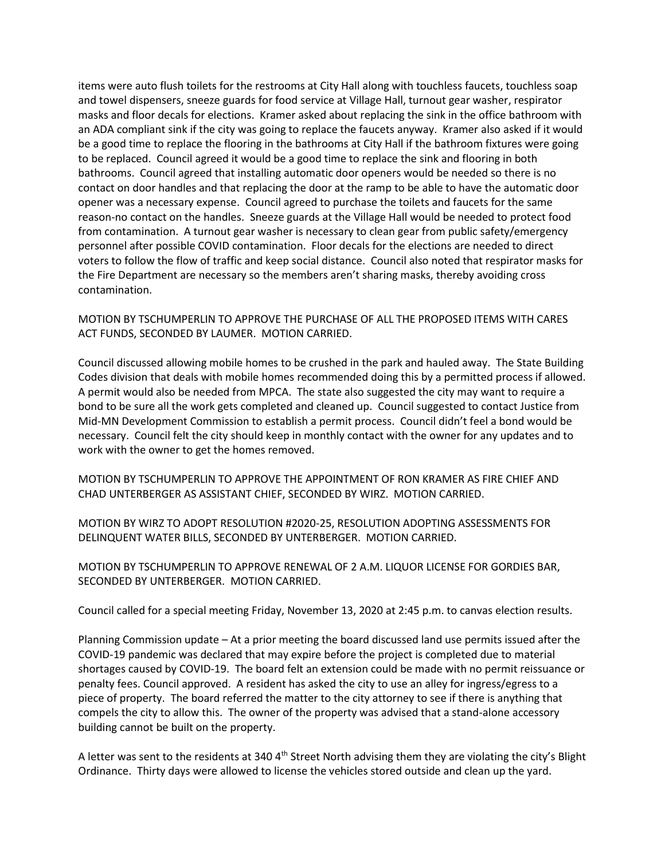items were auto flush toilets for the restrooms at City Hall along with touchless faucets, touchless soap and towel dispensers, sneeze guards for food service at Village Hall, turnout gear washer, respirator masks and floor decals for elections. Kramer asked about replacing the sink in the office bathroom with an ADA compliant sink if the city was going to replace the faucets anyway. Kramer also asked if it would be a good time to replace the flooring in the bathrooms at City Hall if the bathroom fixtures were going to be replaced. Council agreed it would be a good time to replace the sink and flooring in both bathrooms. Council agreed that installing automatic door openers would be needed so there is no contact on door handles and that replacing the door at the ramp to be able to have the automatic door opener was a necessary expense. Council agreed to purchase the toilets and faucets for the same reason-no contact on the handles. Sneeze guards at the Village Hall would be needed to protect food from contamination. A turnout gear washer is necessary to clean gear from public safety/emergency personnel after possible COVID contamination. Floor decals for the elections are needed to direct voters to follow the flow of traffic and keep social distance. Council also noted that respirator masks for the Fire Department are necessary so the members aren't sharing masks, thereby avoiding cross contamination.

MOTION BY TSCHUMPERLIN TO APPROVE THE PURCHASE OF ALL THE PROPOSED ITEMS WITH CARES ACT FUNDS, SECONDED BY LAUMER. MOTION CARRIED.

Council discussed allowing mobile homes to be crushed in the park and hauled away. The State Building Codes division that deals with mobile homes recommended doing this by a permitted process if allowed. A permit would also be needed from MPCA. The state also suggested the city may want to require a bond to be sure all the work gets completed and cleaned up. Council suggested to contact Justice from Mid-MN Development Commission to establish a permit process. Council didn't feel a bond would be necessary. Council felt the city should keep in monthly contact with the owner for any updates and to work with the owner to get the homes removed.

MOTION BY TSCHUMPERLIN TO APPROVE THE APPOINTMENT OF RON KRAMER AS FIRE CHIEF AND CHAD UNTERBERGER AS ASSISTANT CHIEF, SECONDED BY WIRZ. MOTION CARRIED.

MOTION BY WIRZ TO ADOPT RESOLUTION #2020-25, RESOLUTION ADOPTING ASSESSMENTS FOR DELINQUENT WATER BILLS, SECONDED BY UNTERBERGER. MOTION CARRIED.

MOTION BY TSCHUMPERLIN TO APPROVE RENEWAL OF 2 A.M. LIQUOR LICENSE FOR GORDIES BAR, SECONDED BY UNTERBERGER. MOTION CARRIED.

Council called for a special meeting Friday, November 13, 2020 at 2:45 p.m. to canvas election results.

Planning Commission update – At a prior meeting the board discussed land use permits issued after the COVID-19 pandemic was declared that may expire before the project is completed due to material shortages caused by COVID-19. The board felt an extension could be made with no permit reissuance or penalty fees. Council approved. A resident has asked the city to use an alley for ingress/egress to a piece of property. The board referred the matter to the city attorney to see if there is anything that compels the city to allow this. The owner of the property was advised that a stand-alone accessory building cannot be built on the property.

A letter was sent to the residents at 340 4<sup>th</sup> Street North advising them they are violating the city's Blight Ordinance. Thirty days were allowed to license the vehicles stored outside and clean up the yard.